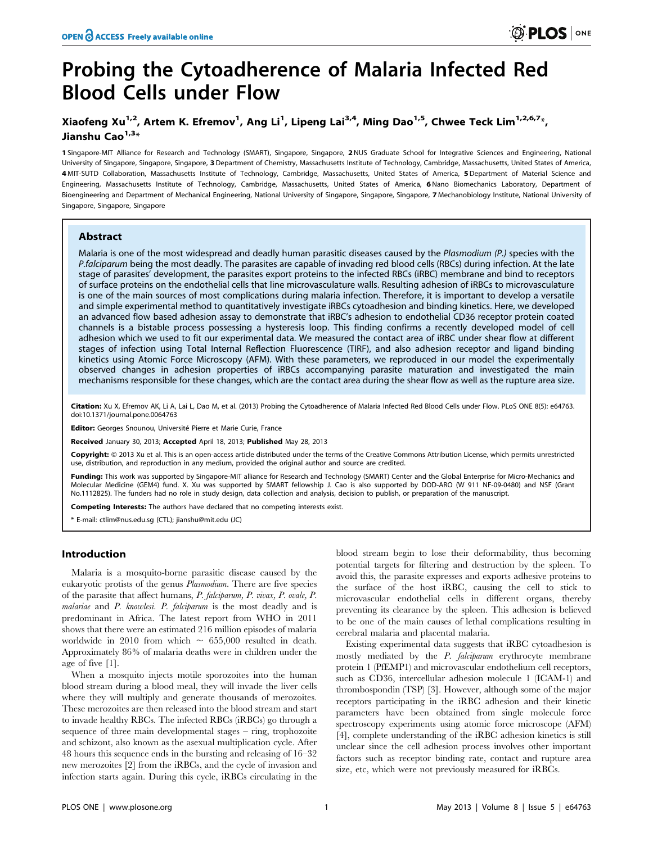# Probing the Cytoadherence of Malaria Infected Red Blood Cells under Flow

# Xiaofeng Xu<sup>1,2</sup>, Artem K. Efremov<sup>1</sup>, Ang Li<sup>1</sup>, Lipeng Lai<sup>3,4</sup>, Ming Dao<sup>1,5</sup>, Chwee Teck Lim<sup>1,2,6,7</sup>\*, Jianshu Cao<sup>1,3</sup>\*

1 Singapore-MIT Alliance for Research and Technology (SMART), Singapore, Singapore, 2 NUS Graduate School for Integrative Sciences and Engineering, National University of Singapore, Singapore, Singapore, 3Department of Chemistry, Massachusetts Institute of Technology, Cambridge, Massachusetts, United States of America, 4 MIT-SUTD Collaboration, Massachusetts Institute of Technology, Cambridge, Massachusetts, United States of America, 5 Department of Material Science and Engineering, Massachusetts Institute of Technology, Cambridge, Massachusetts, United States of America, 6Nano Biomechanics Laboratory, Department of Bioengineering and Department of Mechanical Engineering, National University of Singapore, Singapore, Singapore, 7 Mechanobiology Institute, National University of Singapore, Singapore, Singapore

#### Abstract

Malaria is one of the most widespread and deadly human parasitic diseases caused by the Plasmodium (P.) species with the P.falciparum being the most deadly. The parasites are capable of invading red blood cells (RBCs) during infection. At the late stage of parasites' development, the parasites export proteins to the infected RBCs (iRBC) membrane and bind to receptors of surface proteins on the endothelial cells that line microvasculature walls. Resulting adhesion of iRBCs to microvasculature is one of the main sources of most complications during malaria infection. Therefore, it is important to develop a versatile and simple experimental method to quantitatively investigate iRBCs cytoadhesion and binding kinetics. Here, we developed an advanced flow based adhesion assay to demonstrate that iRBC's adhesion to endothelial CD36 receptor protein coated channels is a bistable process possessing a hysteresis loop. This finding confirms a recently developed model of cell adhesion which we used to fit our experimental data. We measured the contact area of iRBC under shear flow at different stages of infection using Total Internal Reflection Fluorescence (TIRF), and also adhesion receptor and ligand binding kinetics using Atomic Force Microscopy (AFM). With these parameters, we reproduced in our model the experimentally observed changes in adhesion properties of iRBCs accompanying parasite maturation and investigated the main mechanisms responsible for these changes, which are the contact area during the shear flow as well as the rupture area size.

Citation: Xu X, Efremov AK, Li A, Lai L, Dao M, et al. (2013) Probing the Cytoadherence of Malaria Infected Red Blood Cells under Flow. PLoS ONE 8(5): e64763. doi:10.1371/journal.pone.0064763

Editor: Georges Snounou, Université Pierre et Marie Curie, France

Received January 30, 2013; Accepted April 18, 2013; Published May 28, 2013

Copyright: 2013 Xu et al. This is an open-access article distributed under the terms of the Creative Commons Attribution License, which permits unrestricted use, distribution, and reproduction in any medium, provided the original author and source are credited.

Funding: This work was supported by Singapore-MIT alliance for Research and Technology (SMART) Center and the Global Enterprise for Micro-Mechanics and Molecular Medicine (GEM4) fund. X. Xu was supported by SMART fellowship J. Cao is also supported by DOD-ARO (W 911 NF-09-0480) and NSF (Grant No.1112825). The funders had no role in study design, data collection and analysis, decision to publish, or preparation of the manuscript.

Competing Interests: The authors have declared that no competing interests exist.

\* E-mail: ctlim@nus.edu.sg (CTL); jianshu@mit.edu (JC)

## Introduction

Malaria is a mosquito-borne parasitic disease caused by the eukaryotic protists of the genus Plasmodium. There are five species of the parasite that affect humans, P. falciparum, P. vivax, P. ovale, P. malariae and P. knowlesi. P. falciparum is the most deadly and is predominant in Africa. The latest report from WHO in 2011 shows that there were an estimated 216 million episodes of malaria worldwide in 2010 from which  $\sim 655,000$  resulted in death. Approximately 86% of malaria deaths were in children under the age of five [1].

When a mosquito injects motile sporozoites into the human blood stream during a blood meal, they will invade the liver cells where they will multiply and generate thousands of merozoites. These merozoites are then released into the blood stream and start to invade healthy RBCs. The infected RBCs (iRBCs) go through a sequence of three main developmental stages – ring, trophozoite and schizont, also known as the asexual multiplication cycle. After 48 hours this sequence ends in the bursting and releasing of 16–32 new merozoites [2] from the iRBCs, and the cycle of invasion and infection starts again. During this cycle, iRBCs circulating in the

blood stream begin to lose their deformability, thus becoming potential targets for filtering and destruction by the spleen. To avoid this, the parasite expresses and exports adhesive proteins to the surface of the host iRBC, causing the cell to stick to microvascular endothelial cells in different organs, thereby preventing its clearance by the spleen. This adhesion is believed to be one of the main causes of lethal complications resulting in cerebral malaria and placental malaria.

Existing experimental data suggests that iRBC cytoadhesion is mostly mediated by the P. falciparum erythrocyte membrane protein 1 (PfEMP1) and microvascular endothelium cell receptors, such as CD36, intercellular adhesion molecule 1 (ICAM-1) and thrombospondin (TSP) [3]. However, although some of the major receptors participating in the iRBC adhesion and their kinetic parameters have been obtained from single molecule force spectroscopy experiments using atomic force microscope (AFM) [4], complete understanding of the iRBC adhesion kinetics is still unclear since the cell adhesion process involves other important factors such as receptor binding rate, contact and rupture area size, etc, which were not previously measured for iRBCs.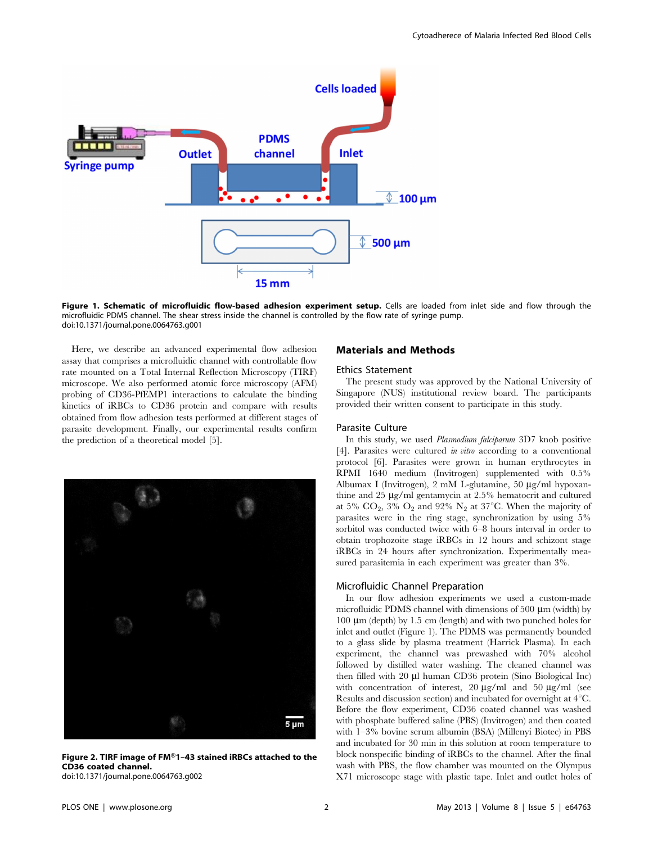

Figure 1. Schematic of microfluidic flow-based adhesion experiment setup. Cells are loaded from inlet side and flow through the microfluidic PDMS channel. The shear stress inside the channel is controlled by the flow rate of syringe pump. doi:10.1371/journal.pone.0064763.g001

Here, we describe an advanced experimental flow adhesion assay that comprises a microfluidic channel with controllable flow rate mounted on a Total Internal Reflection Microscopy (TIRF) microscope. We also performed atomic force microscopy (AFM) probing of CD36-PfEMP1 interactions to calculate the binding kinetics of iRBCs to CD36 protein and compare with results obtained from flow adhesion tests performed at different stages of parasite development. Finally, our experimental results confirm the prediction of a theoretical model [5].



Figure 2. TIRF image of FM®1–43 stained iRBCs attached to the CD36 coated channel. doi:10.1371/journal.pone.0064763.g002

#### Materials and Methods

#### Ethics Statement

The present study was approved by the National University of Singapore (NUS) institutional review board. The participants provided their written consent to participate in this study.

#### Parasite Culture

In this study, we used Plasmodium falciparum 3D7 knob positive [4]. Parasites were cultured *in vitro* according to a conventional protocol [6]. Parasites were grown in human erythrocytes in RPMI 1640 medium (Invitrogen) supplemented with 0.5% Albumax I (Invitrogen), 2 mM L-glutamine, 50 µg/ml hypoxanthine and  $25 \mu g/ml$  gentamycin at  $2.5\%$  hematocrit and cultured at 5%  $CO_2$ , 3%  $O_2$  and 92%  $N_2$  at 37°C. When the majority of parasites were in the ring stage, synchronization by using 5% sorbitol was conducted twice with 6–8 hours interval in order to obtain trophozoite stage iRBCs in 12 hours and schizont stage iRBCs in 24 hours after synchronization. Experimentally measured parasitemia in each experiment was greater than 3%.

# Microfluidic Channel Preparation

In our flow adhesion experiments we used a custom-made microfluidic PDMS channel with dimensions of 500  $\mu$ m (width) by 100  $\mu$ m (depth) by 1.5 cm (length) and with two punched holes for inlet and outlet (Figure 1). The PDMS was permanently bounded to a glass slide by plasma treatment (Harrick Plasma). In each experiment, the channel was prewashed with 70% alcohol followed by distilled water washing. The cleaned channel was then filled with 20  $\mu$ l human CD36 protein (Sino Biological Inc) with concentration of interest, 20  $\mu$ g/ml and 50  $\mu$ g/ml (see Results and discussion section) and incubated for overnight at  $4^{\circ}$ C. Before the flow experiment, CD36 coated channel was washed with phosphate buffered saline (PBS) (Invitrogen) and then coated with 1–3% bovine serum albumin (BSA) (Millenyi Biotec) in PBS and incubated for 30 min in this solution at room temperature to block nonspecific binding of iRBCs to the channel. After the final wash with PBS, the flow chamber was mounted on the Olympus X71 microscope stage with plastic tape. Inlet and outlet holes of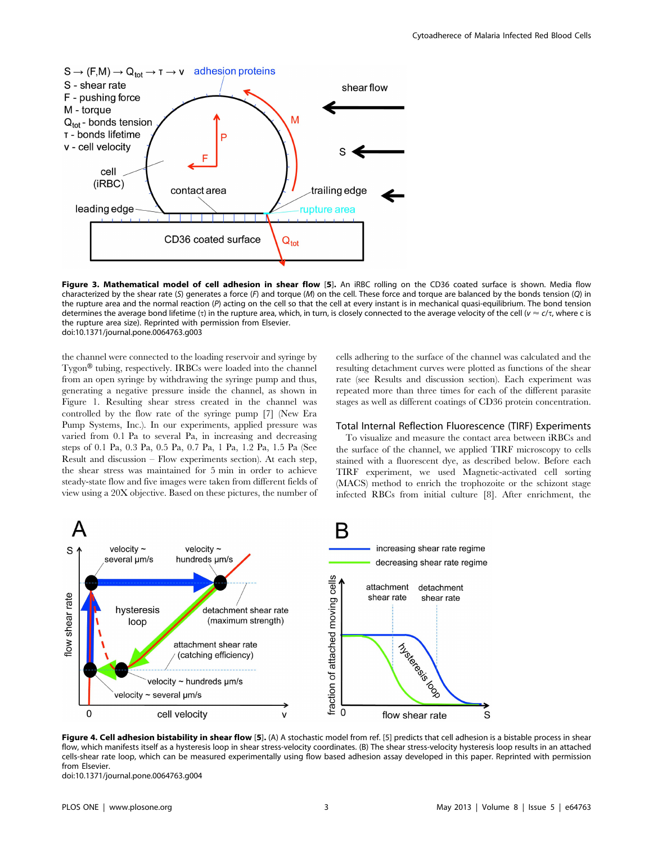

Figure 3. Mathematical model of cell adhesion in shear flow [5]. An iRBC rolling on the CD36 coated surface is shown. Media flow characterized by the shear rate (S) generates a force (F) and torque (M) on the cell. These force and torque are balanced by the bonds tension (Q) in the rupture area and the normal reaction (P) acting on the cell so that the cell at every instant is in mechanical quasi-equilibrium. The bond tension determines the average bond lifetime ( $\tau$ ) in the rupture area, which, in turn, is closely connected to the average velocity of the cell ( $v \approx c/\tau$ , where c is the rupture area size). Reprinted with permission from Elsevier. doi:10.1371/journal.pone.0064763.g003

the channel were connected to the loading reservoir and syringe by  $Tyqon^@$  tubing, respectively. IRBCs were loaded into the channel from an open syringe by withdrawing the syringe pump and thus, generating a negative pressure inside the channel, as shown in Figure 1. Resulting shear stress created in the channel was controlled by the flow rate of the syringe pump [7] (New Era Pump Systems, Inc.). In our experiments, applied pressure was varied from 0.1 Pa to several Pa, in increasing and decreasing steps of 0.1 Pa, 0.3 Pa, 0.5 Pa, 0.7 Pa, 1 Pa, 1.2 Pa, 1.5 Pa (See Result and discussion – Flow experiments section). At each step, the shear stress was maintained for 5 min in order to achieve steady-state flow and five images were taken from different fields of view using a 20X objective. Based on these pictures, the number of cells adhering to the surface of the channel was calculated and the resulting detachment curves were plotted as functions of the shear rate (see Results and discussion section). Each experiment was repeated more than three times for each of the different parasite stages as well as different coatings of CD36 protein concentration.

#### Total Internal Reflection Fluorescence (TIRF) Experiments

To visualize and measure the contact area between iRBCs and the surface of the channel, we applied TIRF microscopy to cells stained with a fluorescent dye, as described below. Before each TIRF experiment, we used Magnetic-activated cell sorting (MACS) method to enrich the trophozoite or the schizont stage infected RBCs from initial culture [8]. After enrichment, the



Figure 4. Cell adhesion bistability in shear flow [5]. (A) A stochastic model from ref. [5] predicts that cell adhesion is a bistable process in shear flow, which manifests itself as a hysteresis loop in shear stress-velocity coordinates. (B) The shear stress-velocity hysteresis loop results in an attached cells-shear rate loop, which can be measured experimentally using flow based adhesion assay developed in this paper. Reprinted with permission from Elsevier.

doi:10.1371/journal.pone.0064763.g004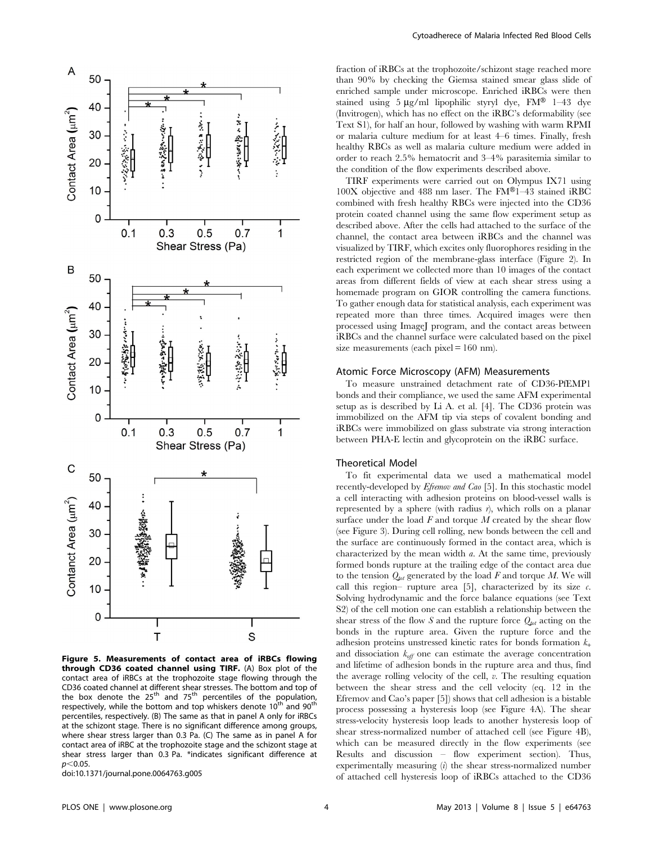

Figure 5. Measurements of contact area of iRBCs flowing through CD36 coated channel using TIRF. (A) Box plot of the contact area of iRBCs at the trophozoite stage flowing through the CD36 coated channel at different shear stresses. The bottom and top of the box denote the  $25<sup>th</sup>$  and  $75<sup>th</sup>$  percentiles of the population, respectively, while the bottom and top whiskers denote 10<sup>th</sup> and 90<sup>th</sup> percentiles, respectively. (B) The same as that in panel A only for iRBCs at the schizont stage. There is no significant difference among groups, where shear stress larger than 0.3 Pa. (C) The same as in panel A for contact area of iRBC at the trophozoite stage and the schizont stage at shear stress larger than 0.3 Pa. \*indicates significant difference at  $p<0.05$ .

doi:10.1371/journal.pone.0064763.g005

fraction of iRBCs at the trophozoite/schizont stage reached more than 90% by checking the Giemsa stained smear glass slide of enriched sample under microscope. Enriched iRBCs were then stained using 5  $\mu$ g/ml lipophilic styryl dye, FM® 1–43 dye (Invitrogen), which has no effect on the iRBC's deformability (see Text S1), for half an hour, followed by washing with warm RPMI or malaria culture medium for at least 4–6 times. Finally, fresh healthy RBCs as well as malaria culture medium were added in order to reach 2.5% hematocrit and 3–4% parasitemia similar to the condition of the flow experiments described above.

TIRF experiments were carried out on Olympus IX71 using  $100X$  objective and 488 nm laser. The  $FM@1-43$  stained iRBC combined with fresh healthy RBCs were injected into the CD36 protein coated channel using the same flow experiment setup as described above. After the cells had attached to the surface of the channel, the contact area between iRBCs and the channel was visualized by TIRF, which excites only fluorophores residing in the restricted region of the membrane-glass interface (Figure 2). In each experiment we collected more than 10 images of the contact areas from different fields of view at each shear stress using a homemade program on GIOR controlling the camera functions. To gather enough data for statistical analysis, each experiment was repeated more than three times. Acquired images were then processed using ImageJ program, and the contact areas between iRBCs and the channel surface were calculated based on the pixel size measurements (each pixel  $= 160$  nm).

#### Atomic Force Microscopy (AFM) Measurements

To measure unstrained detachment rate of CD36-PfEMP1 bonds and their compliance, we used the same AFM experimental setup as is described by Li A. et al. [4]. The CD36 protein was immobilized on the AFM tip via steps of covalent bonding and iRBCs were immobilized on glass substrate via strong interaction between PHA-E lectin and glycoprotein on the iRBC surface.

# Theoretical Model

To fit experimental data we used a mathematical model recently-developed by Efremov and Cao [5]. In this stochastic model a cell interacting with adhesion proteins on blood-vessel walls is represented by a sphere (with radius r), which rolls on a planar surface under the load  $F$  and torque  $M$  created by the shear flow (see Figure 3). During cell rolling, new bonds between the cell and the surface are continuously formed in the contact area, which is characterized by the mean width a. At the same time, previously formed bonds rupture at the trailing edge of the contact area due to the tension  $Q_{tot}$  generated by the load F and torque M. We will call this region– rupture area [5], characterized by its size  $c$ . Solving hydrodynamic and the force balance equations (see Text S2) of the cell motion one can establish a relationship between the shear stress of the flow S and the rupture force  $Q_{tot}$  acting on the bonds in the rupture area. Given the rupture force and the adhesion proteins unstressed kinetic rates for bonds formation  $k_{+}$ and dissociation  $k_{\text{off}}$  one can estimate the average concentration and lifetime of adhesion bonds in the rupture area and thus, find the average rolling velocity of the cell, v. The resulting equation between the shear stress and the cell velocity (eq. 12 in the Efremov and Cao's paper [5]) shows that cell adhesion is a bistable process possessing a hysteresis loop (see Figure 4A). The shear stress-velocity hysteresis loop leads to another hysteresis loop of shear stress-normalized number of attached cell (see Figure 4B), which can be measured directly in the flow experiments (see Results and discussion – flow experiment section). Thus, experimentally measuring (i) the shear stress-normalized number of attached cell hysteresis loop of iRBCs attached to the CD36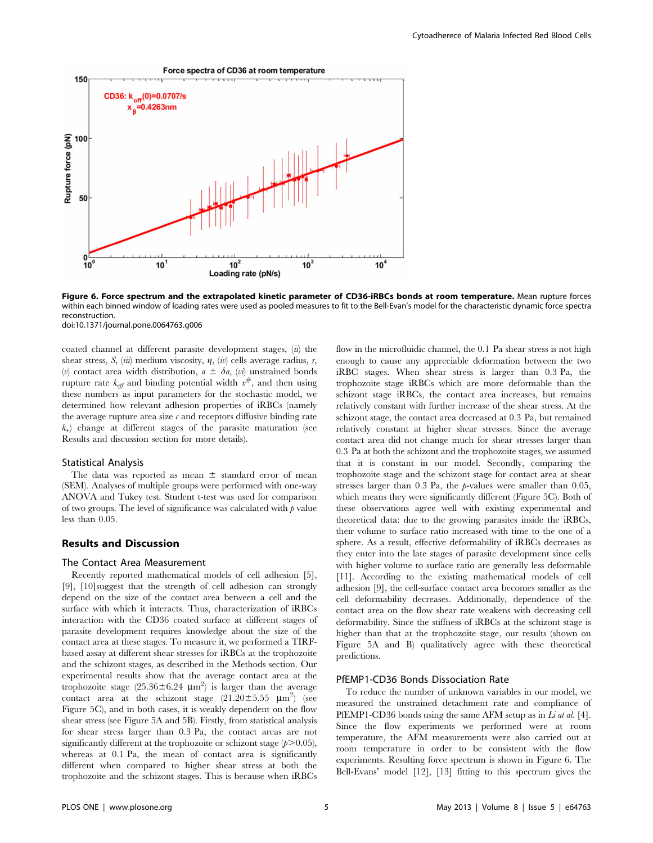

Figure 6. Force spectrum and the extrapolated kinetic parameter of CD36-iRBCs bonds at room temperature. Mean rupture forces within each binned window of loading rates were used as pooled measures to fit to the Bell-Evan's model for the characteristic dynamic force spectra reconstruction. doi:10.1371/journal.pone.0064763.g006

coated channel at different parasite development stages,  $\langle \dot{u} \rangle$  the shear stress, S,  $(iii)$  medium viscosity,  $\eta$ ,  $(iv)$  cells average radius, r, (v) contact area width distribution,  $a \pm \delta a$ , (v) unstrained bonds rupture rate  $k_{\text{off}}$  and binding potential width  $x^{\#}$ , and then using these numbers as input parameters for the stochastic model, we determined how relevant adhesion properties of iRBCs (namely the average rupture area size  $\epsilon$  and receptors diffusive binding rate  $k_{+}$ ) change at different stages of the parasite maturation (see Results and discussion section for more details).

#### Statistical Analysis

The data was reported as mean  $\pm$  standard error of mean (SEM). Analyses of multiple groups were performed with one-way ANOVA and Tukey test. Student t-test was used for comparison of two groups. The level of significance was calculated with  $\beta$  value less than 0.05.

#### Results and Discussion

#### The Contact Area Measurement

Recently reported mathematical models of cell adhesion [5], [9], [10]suggest that the strength of cell adhesion can strongly depend on the size of the contact area between a cell and the surface with which it interacts. Thus, characterization of iRBCs interaction with the CD36 coated surface at different stages of parasite development requires knowledge about the size of the contact area at these stages. To measure it, we performed a TIRFbased assay at different shear stresses for iRBCs at the trophozoite and the schizont stages, as described in the Methods section. Our experimental results show that the average contact area at the trophozoite stage  $(25.36 \pm 6.24 \ \mu m^2)$  is larger than the average contact area at the schizont stage  $(21.20 \pm 5.55 \mu m^2)$  (see Figure 5C), and in both cases, it is weakly dependent on the flow shear stress (see Figure 5A and 5B). Firstly, from statistical analysis for shear stress larger than 0.3 Pa, the contact areas are not significantly different at the trophozoite or schizont stage  $(p>0.05)$ , whereas at 0.1 Pa, the mean of contact area is significantly different when compared to higher shear stress at both the trophozoite and the schizont stages. This is because when iRBCs flow in the microfluidic channel, the 0.1 Pa shear stress is not high enough to cause any appreciable deformation between the two iRBC stages. When shear stress is larger than 0.3 Pa, the trophozoite stage iRBCs which are more deformable than the schizont stage iRBCs, the contact area increases, but remains relatively constant with further increase of the shear stress. At the schizont stage, the contact area decreased at 0.3 Pa, but remained relatively constant at higher shear stresses. Since the average contact area did not change much for shear stresses larger than 0.3 Pa at both the schizont and the trophozoite stages, we assumed that it is constant in our model. Secondly, comparing the trophozoite stage and the schizont stage for contact area at shear stresses larger than  $0.3$  Pa, the  $p$ -values were smaller than  $0.05$ , which means they were significantly different (Figure 5C). Both of these observations agree well with existing experimental and theoretical data: due to the growing parasites inside the iRBCs, their volume to surface ratio increased with time to the one of a sphere. As a result, effective deformability of iRBCs decreases as they enter into the late stages of parasite development since cells with higher volume to surface ratio are generally less deformable [11]. According to the existing mathematical models of cell adhesion [9], the cell-surface contact area becomes smaller as the cell deformability decreases. Additionally, dependence of the contact area on the flow shear rate weakens with decreasing cell deformability. Since the stiffness of iRBCs at the schizont stage is higher than that at the trophozoite stage, our results (shown on Figure 5A and B) qualitatively agree with these theoretical predictions.

# PfEMP1-CD36 Bonds Dissociation Rate

To reduce the number of unknown variables in our model, we measured the unstrained detachment rate and compliance of PfEMP1-CD36 bonds using the same AFM setup as in Li at al. [4]. Since the flow experiments we performed were at room temperature, the AFM measurements were also carried out at room temperature in order to be consistent with the flow experiments. Resulting force spectrum is shown in Figure 6. The Bell-Evans' model [12], [13] fitting to this spectrum gives the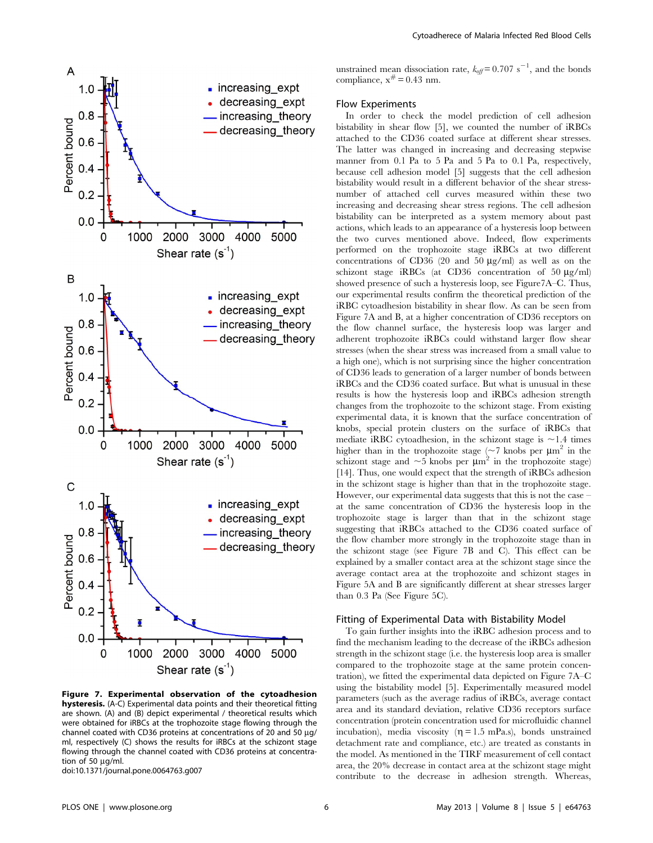

Figure 7. Experimental observation of the cytoadhesion hysteresis. (A-C) Experimental data points and their theoretical fitting are shown. (A) and (B) depict experimental / theoretical results which were obtained for iRBCs at the trophozoite stage flowing through the channel coated with CD36 proteins at concentrations of 20 and 50 µg/ ml, respectively (C) shows the results for iRBCs at the schizont stage flowing through the channel coated with CD36 proteins at concentration of 50  $\mu$ g/ml.

doi:10.1371/journal.pone.0064763.g007

unstrained mean dissociation rate,  $k_{\text{eff}}$  = 0.707 s<sup>-1</sup>, and the bonds compliance,  $x^{\#} = 0.43$  nm.

# Flow Experiments

In order to check the model prediction of cell adhesion bistability in shear flow [5], we counted the number of iRBCs attached to the CD36 coated surface at different shear stresses. The latter was changed in increasing and decreasing stepwise manner from 0.1 Pa to 5 Pa and 5 Pa to 0.1 Pa, respectively, because cell adhesion model [5] suggests that the cell adhesion bistability would result in a different behavior of the shear stressnumber of attached cell curves measured within these two increasing and decreasing shear stress regions. The cell adhesion bistability can be interpreted as a system memory about past actions, which leads to an appearance of a hysteresis loop between the two curves mentioned above. Indeed, flow experiments performed on the trophozoite stage iRBCs at two different concentrations of CD36 (20 and 50  $\mu$ g/ml) as well as on the schizont stage iRBCs (at CD36 concentration of 50  $\mu$ g/ml) showed presence of such a hysteresis loop, see Figure7A–C. Thus, our experimental results confirm the theoretical prediction of the iRBC cytoadhesion bistability in shear flow. As can be seen from Figure 7A and B, at a higher concentration of CD36 receptors on the flow channel surface, the hysteresis loop was larger and adherent trophozoite iRBCs could withstand larger flow shear stresses (when the shear stress was increased from a small value to a high one), which is not surprising since the higher concentration of CD36 leads to generation of a larger number of bonds between iRBCs and the CD36 coated surface. But what is unusual in these results is how the hysteresis loop and iRBCs adhesion strength changes from the trophozoite to the schizont stage. From existing experimental data, it is known that the surface concentration of knobs, special protein clusters on the surface of iRBCs that mediate iRBC cytoadhesion, in the schizont stage is  $\sim$ 1.4 times higher than in the trophozoite stage ( $\sim$ 7 knobs per  $\mu$ m<sup>2</sup> in the schizont stage and  $\sim$ 5 knobs per  $\mu$ m<sup>2</sup> in the trophozoite stage) [14]. Thus, one would expect that the strength of iRBCs adhesion in the schizont stage is higher than that in the trophozoite stage. However, our experimental data suggests that this is not the case – at the same concentration of CD36 the hysteresis loop in the trophozoite stage is larger than that in the schizont stage suggesting that iRBCs attached to the CD36 coated surface of the flow chamber more strongly in the trophozoite stage than in the schizont stage (see Figure 7B and C). This effect can be explained by a smaller contact area at the schizont stage since the average contact area at the trophozoite and schizont stages in Figure 5A and B are significantly different at shear stresses larger than 0.3 Pa (See Figure 5C).

#### Fitting of Experimental Data with Bistability Model

To gain further insights into the iRBC adhesion process and to find the mechanism leading to the decrease of the iRBCs adhesion strength in the schizont stage (i.e. the hysteresis loop area is smaller compared to the trophozoite stage at the same protein concentration), we fitted the experimental data depicted on Figure 7A–C using the bistability model [5]. Experimentally measured model parameters (such as the average radius of iRBCs, average contact area and its standard deviation, relative CD36 receptors surface concentration (protein concentration used for microfluidic channel incubation), media viscosity  $(\eta = 1.5 \text{ mPa.s})$ , bonds unstrained detachment rate and compliance, etc.) are treated as constants in the model. As mentioned in the TIRF measurement of cell contact area, the 20% decrease in contact area at the schizont stage might contribute to the decrease in adhesion strength. Whereas,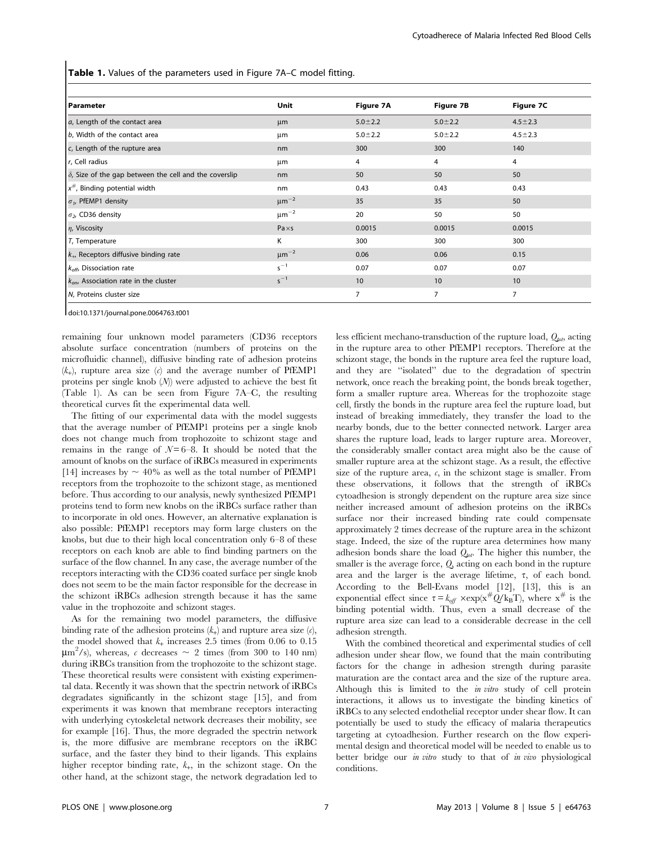Table 1. Values of the parameters used in Figure 7A–C model fitting.

| Parameter                                                     | Unit                  | <b>Figure 7A</b> | <b>Figure 7B</b> | Figure 7C     |  |
|---------------------------------------------------------------|-----------------------|------------------|------------------|---------------|--|
| a, Length of the contact area                                 | $\mu$ m               | $5.0 \pm 2.2$    | $5.0 \pm 2.2$    | $4.5 \pm 2.3$ |  |
| b, Width of the contact area                                  | μm                    | $5.0 \pm 2.2$    | $5.0 + 2.2$      | $4.5 \pm 2.3$ |  |
| c, Length of the rupture area                                 | nm                    | 300              | 300              | 140           |  |
| r, Cell radius                                                | μm                    | 4                | 4                | 4             |  |
| $\delta$ , Size of the gap between the cell and the coverslip | nm                    | 50               | 50               | 50            |  |
| $x^{\#}$ , Binding potential width                            | nm                    | 0.43             | 0.43             | 0.43          |  |
| $\sigma_{\nu}$ , PfEMP1 density                               | $\mu$ m <sup>-2</sup> | 35               | 35               | 50            |  |
| $\sigma$ <sub>2</sub> , CD36 density                          | $\mu$ m <sup>-2</sup> | 20               | 50               | 50            |  |
| $\eta$ , Viscosity                                            | $Pa \times s$         | 0.0015           | 0.0015           | 0.0015        |  |
| T, Temperature                                                | K                     | 300              | 300              | 300           |  |
| $k_{+}$ , Receptors diffusive binding rate                    | $\mu$ m <sup>-2</sup> | 0.06             | 0.06             | 0.15          |  |
| $k_{off}$ , Dissociation rate                                 | $s^{-1}$              | 0.07             | 0.07             | 0.07          |  |
| $k_{on}$ , Association rate in the cluster                    | $s^{-1}$              | 10               | 10 <sup>°</sup>  | 10            |  |
| N, Proteins cluster size                                      |                       | 7                | 7                | 7             |  |

doi:10.1371/journal.pone.0064763.t001

remaining four unknown model parameters (CD36 receptors absolute surface concentration (numbers of proteins on the microfluidic channel), diffusive binding rate of adhesion proteins  $(k_{+})$ , rupture area size (c) and the average number of PfEMP1 proteins per single knob (N)) were adjusted to achieve the best fit (Table 1). As can be seen from Figure 7A–C, the resulting theoretical curves fit the experimental data well.

The fitting of our experimental data with the model suggests that the average number of PfEMP1 proteins per a single knob does not change much from trophozoite to schizont stage and remains in the range of  $N=6-8$ . It should be noted that the amount of knobs on the surface of iRBCs measured in experiments [14] increases by  $\sim$  40% as well as the total number of PfEMP1 receptors from the trophozoite to the schizont stage, as mentioned before. Thus according to our analysis, newly synthesized PfEMP1 proteins tend to form new knobs on the iRBCs surface rather than to incorporate in old ones. However, an alternative explanation is also possible: PfEMP1 receptors may form large clusters on the knobs, but due to their high local concentration only 6–8 of these receptors on each knob are able to find binding partners on the surface of the flow channel. In any case, the average number of the receptors interacting with the CD36 coated surface per single knob does not seem to be the main factor responsible for the decrease in the schizont iRBCs adhesion strength because it has the same value in the trophozoite and schizont stages.

As for the remaining two model parameters, the diffusive binding rate of the adhesion proteins  $(k_{+})$  and rupture area size  $(c)$ , the model showed that  $k_{+}$  increases 2.5 times (from 0.06 to 0.15  $\mu$ m<sup>2</sup>/s), whereas, c decreases  $\sim$  2 times (from 300 to 140 nm) during iRBCs transition from the trophozoite to the schizont stage. These theoretical results were consistent with existing experimental data. Recently it was shown that the spectrin network of iRBCs degradates significantly in the schizont stage [15], and from experiments it was known that membrane receptors interacting with underlying cytoskeletal network decreases their mobility, see for example [16]. Thus, the more degraded the spectrin network is, the more diffusive are membrane receptors on the iRBC surface, and the faster they bind to their ligands. This explains higher receptor binding rate,  $k_{+}$ , in the schizont stage. On the other hand, at the schizont stage, the network degradation led to less efficient mechano-transduction of the rupture load,  $Q_{\omega t}$ , acting in the rupture area to other PfEMP1 receptors. Therefore at the schizont stage, the bonds in the rupture area feel the rupture load, and they are ''isolated'' due to the degradation of spectrin network, once reach the breaking point, the bonds break together, form a smaller rupture area. Whereas for the trophozoite stage cell, firstly the bonds in the rupture area feel the rupture load, but instead of breaking immediately, they transfer the load to the nearby bonds, due to the better connected network. Larger area shares the rupture load, leads to larger rupture area. Moreover, the considerably smaller contact area might also be the cause of smaller rupture area at the schizont stage. As a result, the effective size of the rupture area,  $c$ , in the schizont stage is smaller. From these observations, it follows that the strength of iRBCs cytoadhesion is strongly dependent on the rupture area size since neither increased amount of adhesion proteins on the iRBCs surface nor their increased binding rate could compensate approximately 2 times decrease of the rupture area in the schizont stage. Indeed, the size of the rupture area determines how many adhesion bonds share the load  $Q_{tot}$ . The higher this number, the smaller is the average force, Q, acting on each bond in the rupture area and the larger is the average lifetime,  $\tau$ , of each bond. According to the Bell-Evans model [12], [13], this is an exponential effect since  $\tau = k_{off} \times \exp(x^{\#}Q/k_BT)$ , where  $x^{\#}$  is the binding potential width. Thus, even a small decrease of the rupture area size can lead to a considerable decrease in the cell adhesion strength.

With the combined theoretical and experimental studies of cell adhesion under shear flow, we found that the main contributing factors for the change in adhesion strength during parasite maturation are the contact area and the size of the rupture area. Although this is limited to the *in vitro* study of cell protein interactions, it allows us to investigate the binding kinetics of iRBCs to any selected endothelial receptor under shear flow. It can potentially be used to study the efficacy of malaria therapeutics targeting at cytoadhesion. Further research on the flow experimental design and theoretical model will be needed to enable us to better bridge our *in vitro* study to that of *in vivo* physiological conditions.